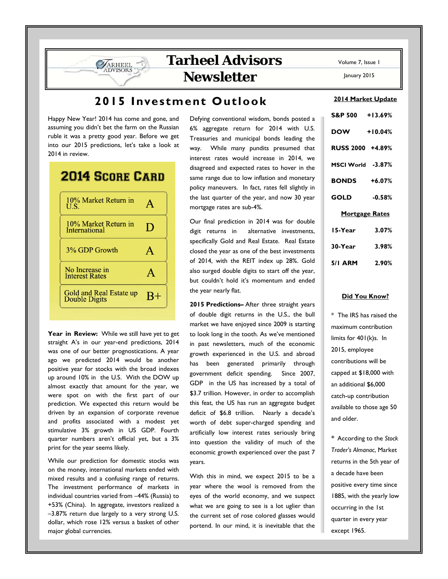## **2015 Investment Outlook**

Happy New Year! 2014 has come and gone, and assuming you didn't bet the farm on the Russian ruble it was a pretty good year. Before we get into our 2015 predictions, let's take a look at 2014 in review.

**SARHEEL** 

| <b>2014 SCORE CARD</b>                          |              |
|-------------------------------------------------|--------------|
| 10% Market Return in<br>U.S.                    |              |
| 10% Market Return in<br><b>International</b>    | D            |
| 3% GDP Growth                                   | $\mathbf{A}$ |
| No Increase in<br><b>Interest Rates</b>         |              |
| Gold and Real Estate up<br><b>Double Digits</b> |              |
|                                                 |              |

Year in Review: While we still have yet to get straight A's in our year-end predictions, 2014 was one of our better prognostications. A year ago we predicted 2014 would be another positive year for stocks with the broad indexes up around 10% in the U.S. With the DOW up almost exactly that amount for the year, we were spot on with the first part of our prediction. We expected this return would be driven by an expansion of corporate revenue and profits associated with a modest yet stimulative 3% growth in US GDP. Fourth quarter numbers aren't official yet, but a 3% print for the year seems likely.

While our prediction for domestic stocks was on the money, international markets ended with mixed results and a confusing range of returns. The investment performance of markets in individual countries varied from –44% (Russia) to +53% (China). In aggregate, investors realized a –3.87% return due largely to a very strong U.S. dollar, which rose 12% versus a basket of other major global currencies.

Defying conventional wisdom, bonds posted a 6% aggregate return for 2014 with U.S. Treasuries and municipal bonds leading the way. While many pundits presumed that interest rates would increase in 2014, we disagreed and expected rates to hover in the same range due to low inflation and monetary policy maneuvers. In fact, rates fell slightly in the last quarter of the year, and now 30 year mortgage rates are sub-4%.

Our final prediction in 2014 was for double digit returns in alternative investments, specifically Gold and Real Estate. Real Estate closed the year as one of the best investments of 2014, with the REIT index up 28%. Gold also surged double digits to start off the year, but couldn't hold it's momentum and ended the year nearly flat.

**2015 Predictions–** After three straight years of double digit returns in the U.S., the bull market we have enjoyed since 2009 is starting to look long in the tooth. As we've mentioned in past newsletters, much of the economic growth experienced in the U.S. and abroad has been generated primarily through government deficit spending. Since 2007, GDP in the US has increased by a total of \$3.7 trillion. However, in order to accomplish this feat, the US has run an aggregate budget deficit of \$6.8 trillion. Nearly a decade's worth of debt super-charged spending and artificially low interest rates seriously bring into question the validity of much of the economic growth experienced over the past 7 years.

With this in mind, we expect 2015 to be a year where the wool is removed from the eyes of the world economy, and we suspect what we are going to see is a lot uglier than the current set of rose colored glasses would portend. In our mind, it is inevitable that the

Volume 7, Issue 1

January 2015

### **2014 Market Update**

| S&P 500 +13.69%     |           |  |  |  |  |  |  |
|---------------------|-----------|--|--|--|--|--|--|
| <b>DOW</b>          | $+10.04%$ |  |  |  |  |  |  |
| RUSS 2000 +4.89%    |           |  |  |  |  |  |  |
| MSCI World -3.87%   |           |  |  |  |  |  |  |
| <b>BONDS</b> +6.07% |           |  |  |  |  |  |  |
| <b>GOLD</b>         | $-0.58%$  |  |  |  |  |  |  |
| Mortgage Rates      |           |  |  |  |  |  |  |
| 15-Year             | 3.07%     |  |  |  |  |  |  |
| 30-Year             | 3.98%     |  |  |  |  |  |  |
| 5/1 ARM 2.90%       |           |  |  |  |  |  |  |

#### **Did You Know?**

\* The IRS has raised the maximum contribution limits for 401(k)s. In 2015, employee contributions will be capped at \$18,000 with an additional \$6,000 catch-up contribution available to those age 50 and older.

\* According to the *Stock Trader's Almanac*, Market returns in the 5th year of a decade have been positive every time since 1885, with the yearly low occurring in the 1st quarter in every year except 1965.